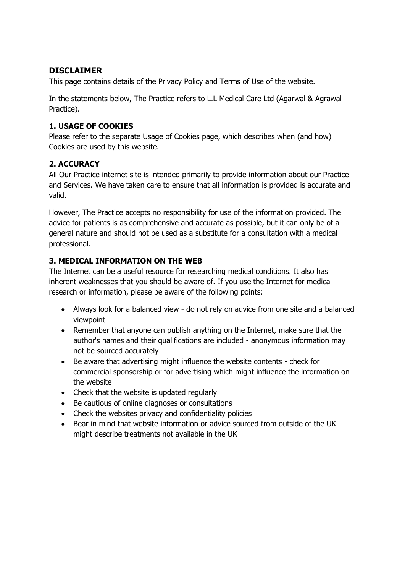## **DISCLAIMER**

This page contains details of the Privacy Policy and Terms of Use of the website.

In the statements below, The Practice refers to L.L Medical Care Ltd (Agarwal & Agrawal Practice).

### **1. USAGE OF COOKIES**

Please refer to the separate Usage of Cookies page, which describes when (and how) Cookies are used by this website.

### **2. ACCURACY**

All Our Practice internet site is intended primarily to provide information about our Practice and Services. We have taken care to ensure that all information is provided is accurate and valid.

However, The Practice accepts no responsibility for use of the information provided. The advice for patients is as comprehensive and accurate as possible, but it can only be of a general nature and should not be used as a substitute for a consultation with a medical professional.

### **3. MEDICAL INFORMATION ON THE WEB**

The Internet can be a useful resource for researching medical conditions. It also has inherent weaknesses that you should be aware of. If you use the Internet for medical research or information, please be aware of the following points:

- Always look for a balanced view do not rely on advice from one site and a balanced viewpoint
- Remember that anyone can publish anything on the Internet, make sure that the author's names and their qualifications are included - anonymous information may not be sourced accurately
- Be aware that advertising might influence the website contents check for commercial sponsorship or for advertising which might influence the information on the website
- Check that the website is updated regularly
- Be cautious of online diagnoses or consultations
- Check the websites privacy and confidentiality policies
- Bear in mind that website information or advice sourced from outside of the UK might describe treatments not available in the UK